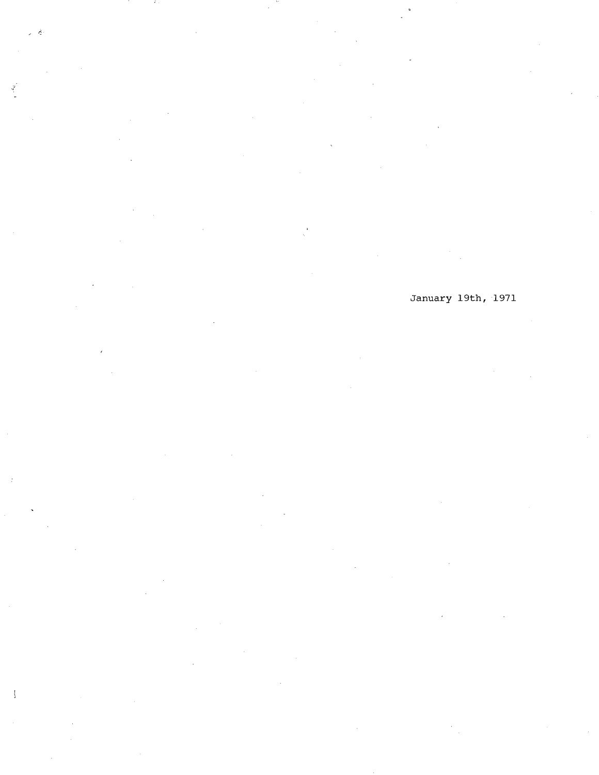$\hat{\gamma}$ 

÷,

January 19th, 1971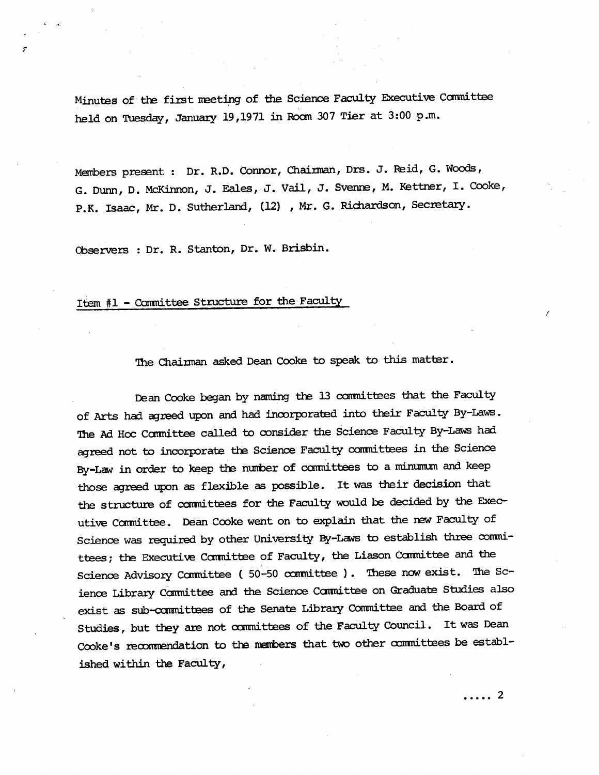Minutes of the first neeting of *the* Science Faculty Executive Ccmrnittee held on Tuesday, January 19,1971 in Room 307 Tier at 3:00 p.m.

Members present: Dr. R.D. Connor, Chairman, Drs. J. Reid, G. Woods, G. Dunn, D. McKinnon, J. Eales, J. Vail, J. **Svenr,** N. Kettner, I. Cooke, P.K. Isaac, Mr. D. Sutherland, (12) , Mr. G. Richardson, Secretary.

cbservers : Dr. R. Stanton, Dr. W. Brisbin.

# Item #1 - Committee Structure for the Faculty

# *The* Chairman asked Dean Cooke to **speak** to this matter.

Dean Cooke began by naming the 13 committees that the Faculty of Arts had agreed upon and had incorporated into their Faculty By-Laws. The Ad Hoc Committee called to consider the Science Faculty By-Laws had agreed not to incorporate the Science Faculty committees in the Science By-Law in order to keep the number of committees to a minumum and keep those agreed upon as flexible as possible. It was their **decision** that the structure of ocarinittees for *the* Faculty would be decided by the Executive Ccarinittee. Dean Cooke went on to explain that the new Faculty of Science was required by other University By-Laws to establish three committees; the Executive Committee of Faculty, the Liason Committee and the Science Advisory Committee ( 50-50 committee ). These now exist. The Science Library *Ccmmittee* and the Science Cannittee on Graduate Studies also exist as sub-committees of the Senate Library Committee and the Board of Studies, but they are not canmittees of the Faculty Council. It was Dean Cooke's recommendation to the members that two other committees be established within the Faculty,

. . . . . 2

I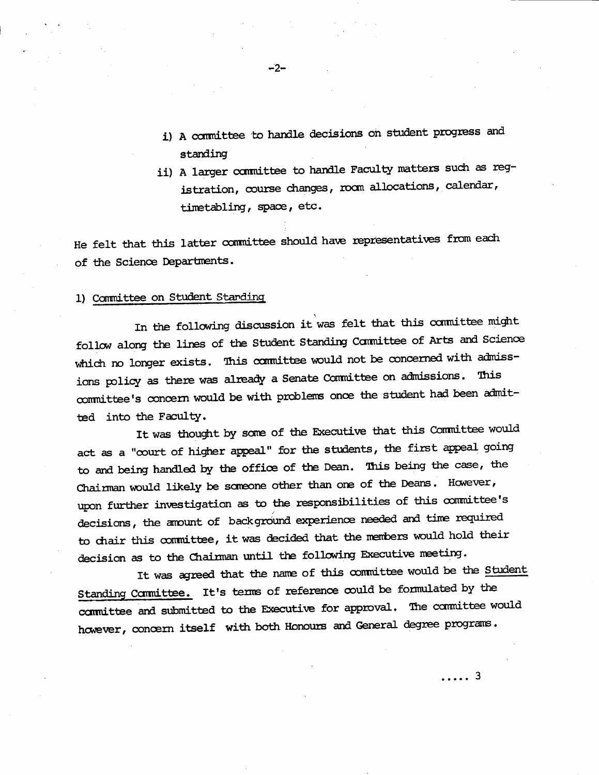- i) A committee to handle decisions on student progress and standing
- ii) A larger committee to handle Faculty matters such as registration, course changes, room allocations, calendar, timatabling, space, etc.

He felt that this latter committee should have representatives from each of the Science Departments.

#### 1) Committee on Student Standing

In the following discussion it was felt that this committee might follow along the lines of the Student Standing Committee of Arts and Science which no longer exists. This committee would not be concerned with admissions policy as there was already a Senate Committee on admissions. This committee's concern would be with problems once the student had been admitted into the Faculty.

It was thought by some of the Executive that this Committee would act as a "court of higher appeal" for the students, the first appeal going to and being handled by *the* office of the Dean. This being the case, the Chairman would likely be someone other than one of the Deans. However, upon further investigation as to the responsibilities of this committee's decisions, the amount of background experience needed and time required to chair this committee, it was decided that the members would hold their decision as to the Chairman until the following Executive meeting.

It was agreed that the name of this committee would be the Student Standing Committee. It's terms of reference could be formulated by the committee and submitted to the Executive for approval. The committee would however, concern itself with both Honours and General degree prograns.

. . . . . 3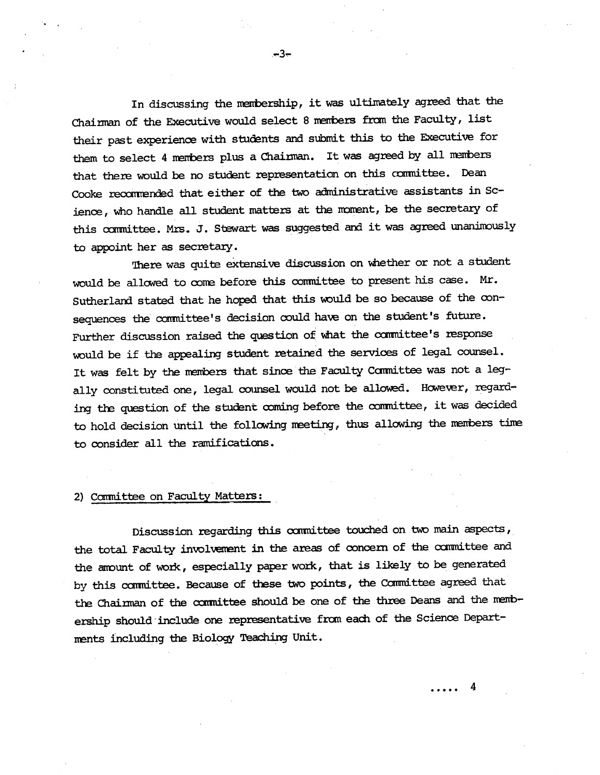In discussing the membership, it was ultimately agreed that the Chairman of the Executive would select 8 nenbers from the Faculty, list their past experience with students and submit this to the Executive for them to select 4 members plus a Chairman. It was agreed by all members that there would be no student representation on this committee. Dean Cooke recommended that either of the two administrative assistants in Science, who handle all student matters at the moment, be the secretary of this committee. Mrs. J. Stewart was suggested and it was agreed unanimously to appoint her as secretary.

 $-3-$ 

There was quite extensive discussion on whether or not a student would be allowed to coma before this comnittee to present his case. Mr. Sutherland stated that he hoped that this would be so because of the consequences the committee's decision could have on the student's future. Further discussion raised the question of what the committee's response would be if the appealing student retained the services of legal counsel. It was felt by the members that since the Faculty Committee was not a legally constituted one, legal counsel would not be allowed. However, regarding the question of the student coming before the committee, it was decided to hold decision until the following meeting, thus allowing the members time to consider all the ramifications.

### 2) Committee on Faculty Matters:

Discussion regarding this committee touched on two main aspects, the total Faculty involvement in the areas of concern of the committee and the anount of work, especially paper work, that is likely to be generated by this committee. Because of these two points, the Committee agreed that the Chairman of the cxmnittee should be one of the three Deans and the nenbership should *include* one representative from each of the Science Departments including the Biology Teaching Unit.

4

. . . . .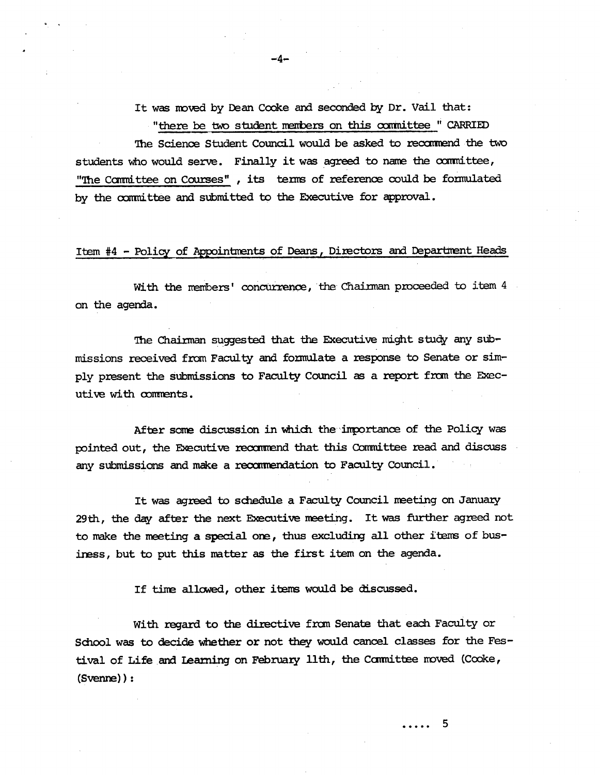It was moved by Dean Cooke and seconded by Dr. Vail that: "there be two student members on this committee " CARRIED

The Science Student Council would be asked to recommend the two students who would serve. Finally it was agreed to name the committee, "The Committee on Courses", its terms of reference could be formulated by the committee and submitted to the Executive for approval.

-.4-

#### Item #4 - Policy of Appointments of Deans, Directors and Department Heads

With the members' concurrence, the Chairman proceeded to item 4 on the agenda.

The Chairman suggested that the Executive might study any submissions received fran Faculty and formulate a response to Senate or simply present the submissions to Faculty Council as a report fran the Executive with comments.

After some discussion in which the importance of the Policy was pointed out, the Executive recommend that this Committee read and discuss any submissions and make a recamendation to Faculty Council.

It was agreed to *sciedule* a Faculty Council meeting on January 29th, the day after *the* next Executive neeting. It was further agreed not to make the meeting a special one, thus excluding all other items of busiress, but to put this matter as the first item on the agenda.

If time allowed, other items would be discussed.

With regard to *the* directive from Senate that each Faculty or School was to decide whether or not they would cancel classes for the Festival of Life and Learning on February 11th, the Committee moved (Cooke, (Svenre)):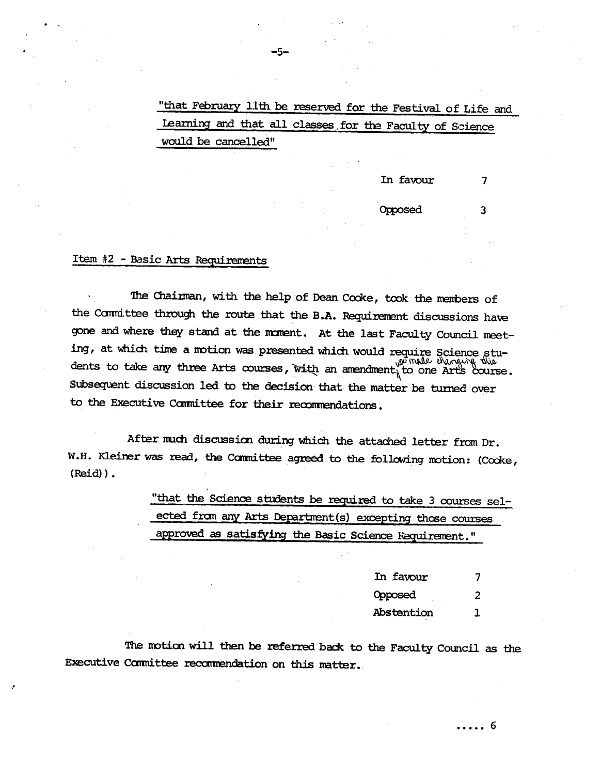"that February 11th be reserved for the Festival of Life and Learning and that all classes for the Faculty of Science would be cancelled"

> In favour  $\overline{7}$

Opposed

3

# Item #2 - Basic Arts Requirements

The Chairman, with the help of Dean Cooke, took the members of the Committee through the route that the B.A. Requirement discussions have gone and where they stand at the moment. At the last Faculty Council meeting, at which time a motion was presented which would require Science students to take any three Arts courses, with an amendment to one Arts course. Subsequent discussion led to the decision that the matter be turned over to the Executive Committee for their recommendations.

After much discussion during which the attached letter from Dr. W.H. Kleiner was read, the Committee agreed to the following motion: (Cooke,  $(Reid)$ .

> "that the Science students be required to take 3 courses selected from any Arts Department(s) excepting those courses approved as satisfying the Basic Science Requirement."

| In favour  |   |
|------------|---|
| Opposed    | 2 |
| Abstention |   |

The motion will then be referred back to the Faculty Council as the Executive Committee recommendation on this matter.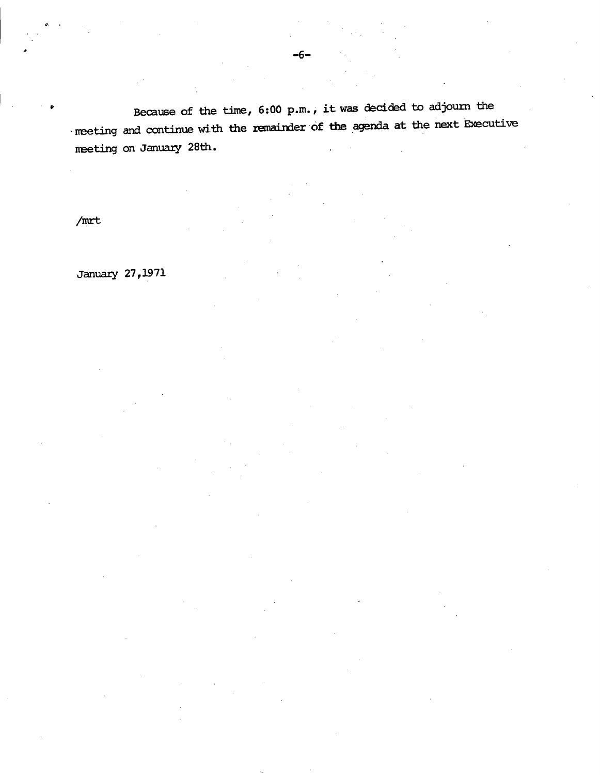Because of the time, 6:00 p.m., it was decided to adjourn the neeting and continue with the remainder of **the** agenda at the next Executive neeting on January 28th.

/mrt

January 27,1971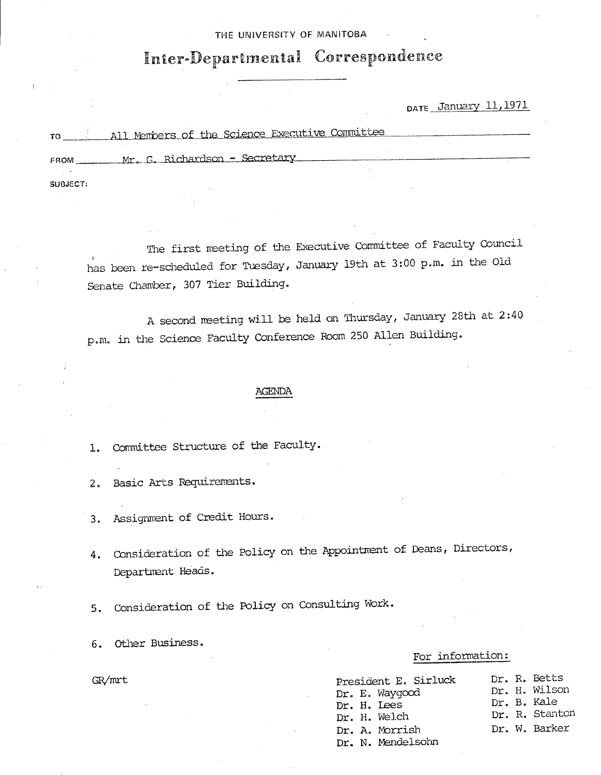#### THE UNIVERSITY OF MAMTOBA

# Inter-Departmental Correspondence

# DATE January 11, 1971

| TO          | All Members of the Science Executive Committee |  |
|-------------|------------------------------------------------|--|
| <b>FROM</b> | Mr. G. Richardson - Secretary                  |  |
|             |                                                |  |
| SUBJECT:    |                                                |  |

The first meeting of the Executive Committee of Faculty Council has been re-scheduled for Tuesday, January 19th at 3:00 p.m. in the Old Senate Chamber, 307 Tier Building.

A second neeting will be held on Thursday, January 28th at 2:40 p.m. in the Science Faculty Conference Boom 250 Allen Building.

#### AGENDA

Committee Structure of the Faculty.  $1.$ 

Basic Arts Requirements.  $2.$ 

- Assignment of Credit Hours. З.
- Consideration of the Policy on the Appointment of Deans, Directors, 4. Department Heads.
- 5. Consideration of the Policy on Consulting Work.
- Other Business.

## For information:

| GR/mrt | President E. Sirluck<br>Dr. E. Waygood<br>Dr. H. Lees<br>Dr. H. Welch<br>Dr. A. Morrish<br>Dr. N. Mendelsohn |  | Dr. R. Betts<br>Dr. H. Wilson<br>Dr. B. Kale<br>Dr. R. Stanton<br>Dr. W. Barker |
|--------|--------------------------------------------------------------------------------------------------------------|--|---------------------------------------------------------------------------------|
|        |                                                                                                              |  |                                                                                 |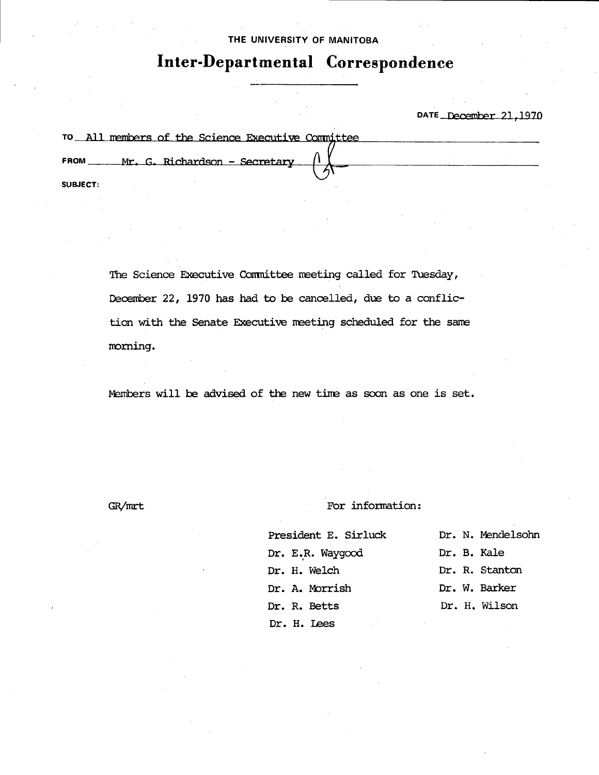#### THE UNIVERSITY OF **MANITOBA**

# **Inter-Departmental Correspondence**

### DATE December 21,1970

| TO All members of the Science Executive Committee |  |
|---------------------------------------------------|--|
| Mr. G. Richardson - Secretary<br><b>FROM</b>      |  |
| <b>SUBJECT:</b>                                   |  |

The Science Executive Committee meeting called for Tuesday, December 22, 1970 has had to be cancelled, due to a confliction with the Senate Executive neeting scheduled for the sane norning.

mbers will be advised of the new time as soon as one is set.

GR/mrt

For information:

President E. Sirluck Dr. E.R. Waygood Dr. H. Welch Dr. A. Morrish Dr. R. Betts Dr. H. Lees Dr. N. Mendelsohn Dr. B. Kale Dr. R. Stanton Dr. W. Barker Dr. H. Wilson